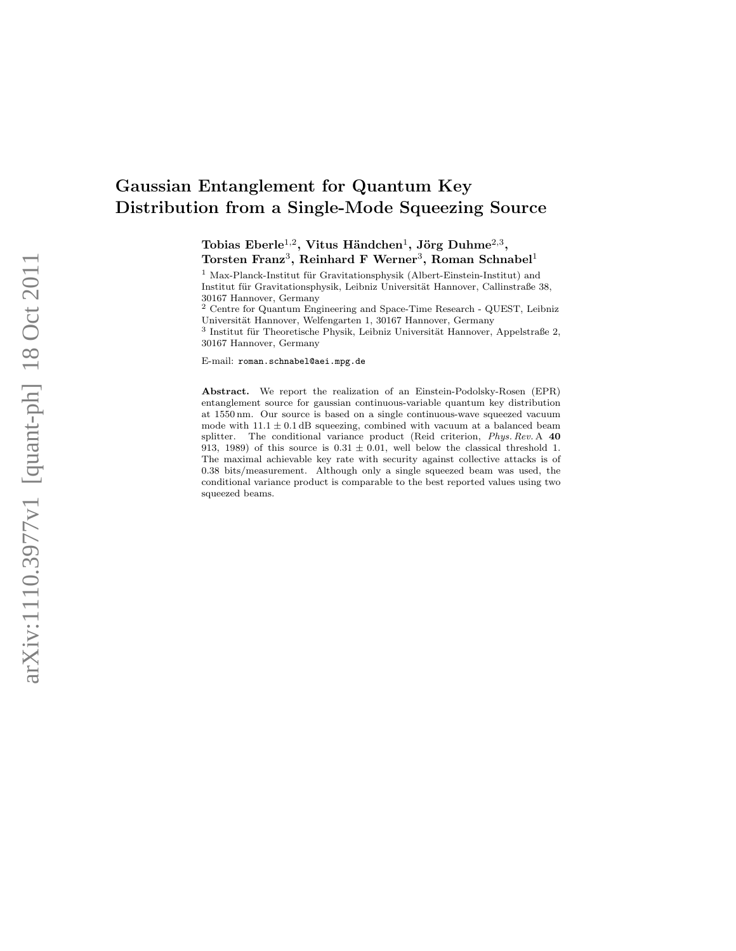# Gaussian Entanglement for Quantum Key Distribution from a Single-Mode Squeezing Source

Tobias Eberle $^{1,2}$ , Vitus Händchen $^{1}$ , Jörg Duhme $^{2,3},$  $\text{Torsten } \text{Franz}^3, \text{ Reinhard } \text{F } \text{ Werner}^3, \text{ Roman Schnabel}^1$ 

 $1$  Max-Planck-Institut für Gravitationsphysik (Albert-Einstein-Institut) and Institut für Gravitationsphysik, Leibniz Universität Hannover, Callinstraße 38, 30167 Hannover, Germany

<sup>2</sup> Centre for Quantum Engineering and Space-Time Research - QUEST, Leibniz Universität Hannover, Welfengarten 1, 30167 Hannover, Germany

 $3$  Institut für Theoretische Physik, Leibniz Universität Hannover, Appelstraße 2, 30167 Hannover, Germany

E-mail: roman.schnabel@aei.mpg.de

Abstract. We report the realization of an Einstein-Podolsky-Rosen (EPR) entanglement source for gaussian continuous-variable quantum key distribution at 1550 nm. Our source is based on a single continuous-wave squeezed vacuum mode with  $11.1 \pm 0.1$  dB squeezing, combined with vacuum at a balanced beam splitter. The conditional variance product (Reid criterion, Phys. Rev. A 40 913, 1989) of this source is  $0.31 \pm 0.01$ , well below the classical threshold 1. The maximal achievable key rate with security against collective attacks is of 0.38 bits/measurement. Although only a single squeezed beam was used, the conditional variance product is comparable to the best reported values using two squeezed beams.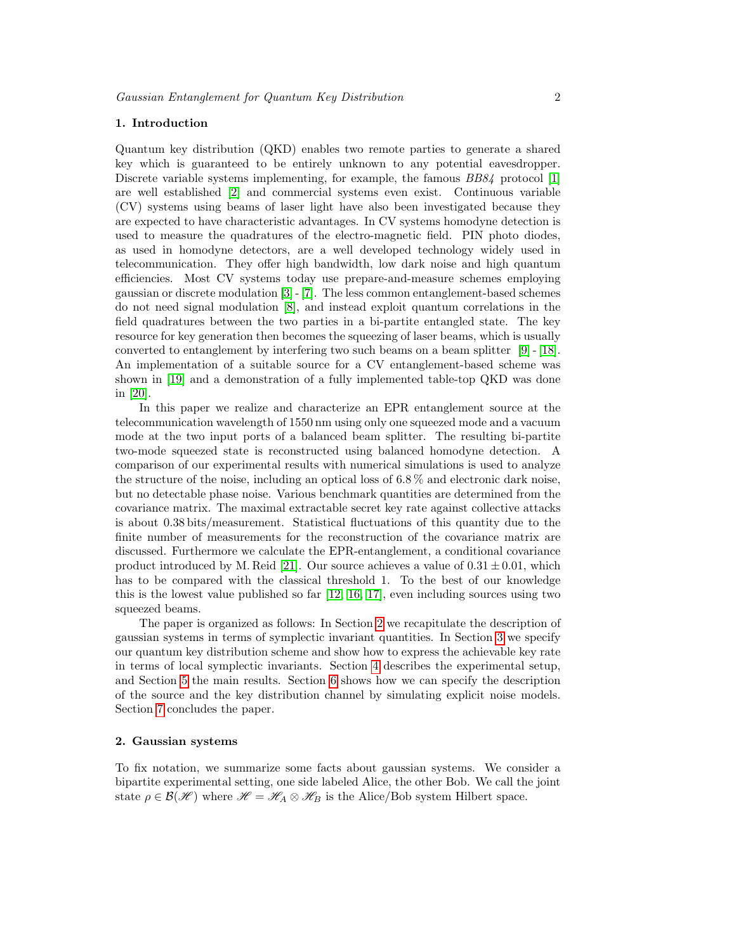# 1. Introduction

Quantum key distribution (QKD) enables two remote parties to generate a shared key which is guaranteed to be entirely unknown to any potential eavesdropper. Discrete variable systems implementing, for example, the famous  $BB84$  protocol [\[1\]](#page-12-0) are well established [\[2\]](#page-12-1) and commercial systems even exist. Continuous variable (CV) systems using beams of laser light have also been investigated because they are expected to have characteristic advantages. In CV systems homodyne detection is used to measure the quadratures of the electro-magnetic field. PIN photo diodes, as used in homodyne detectors, are a well developed technology widely used in telecommunication. They offer high bandwidth, low dark noise and high quantum efficiencies. Most CV systems today use prepare-and-measure schemes employing gaussian or discrete modulation [\[3\]](#page-12-2) - [\[7\]](#page-12-3). The less common entanglement-based schemes do not need signal modulation [\[8\]](#page-12-4), and instead exploit quantum correlations in the field quadratures between the two parties in a bi-partite entangled state. The key resource for key generation then becomes the squeezing of laser beams, which is usually converted to entanglement by interfering two such beams on a beam splitter [\[9\]](#page-12-5) - [\[18\]](#page-13-0). An implementation of a suitable source for a CV entanglement-based scheme was shown in [\[19\]](#page-13-1) and a demonstration of a fully implemented table-top QKD was done in [\[20\]](#page-13-2).

In this paper we realize and characterize an EPR entanglement source at the telecommunication wavelength of 1550 nm using only one squeezed mode and a vacuum mode at the two input ports of a balanced beam splitter. The resulting bi-partite two-mode squeezed state is reconstructed using balanced homodyne detection. A comparison of our experimental results with numerical simulations is used to analyze the structure of the noise, including an optical loss of 6.8 % and electronic dark noise, but no detectable phase noise. Various benchmark quantities are determined from the covariance matrix. The maximal extractable secret key rate against collective attacks is about 0.38 bits/measurement. Statistical fluctuations of this quantity due to the finite number of measurements for the reconstruction of the covariance matrix are discussed. Furthermore we calculate the EPR-entanglement, a conditional covariance product introduced by M. Reid [\[21\]](#page-13-3). Our source achieves a value of  $0.31 \pm 0.01$ , which has to be compared with the classical threshold 1. To the best of our knowledge this is the lowest value published so far [\[12,](#page-13-4) [16,](#page-13-5) [17\]](#page-13-6), even including sources using two squeezed beams.

The paper is organized as follows: In Section [2](#page-1-0) we recapitulate the description of gaussian systems in terms of symplectic invariant quantities. In Section [3](#page-3-0) we specify our quantum key distribution scheme and show how to express the achievable key rate in terms of local symplectic invariants. Section [4](#page-5-0) describes the experimental setup, and Section [5](#page-7-0) the main results. Section [6](#page-10-0) shows how we can specify the description of the source and the key distribution channel by simulating explicit noise models. Section [7](#page-12-6) concludes the paper.

# <span id="page-1-0"></span>2. Gaussian systems

To fix notation, we summarize some facts about gaussian systems. We consider a bipartite experimental setting, one side labeled Alice, the other Bob. We call the joint state  $\rho \in \mathcal{B}(\mathcal{H})$  where  $\mathcal{H} = \mathcal{H}_A \otimes \mathcal{H}_B$  is the Alice/Bob system Hilbert space.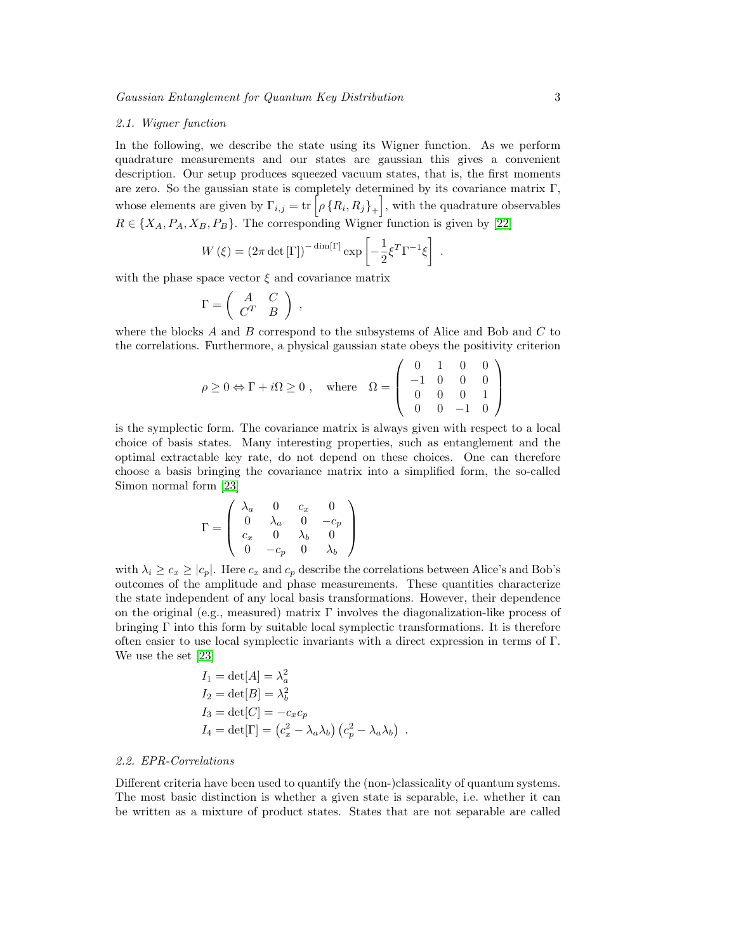#### 2.1. Wigner function

In the following, we describe the state using its Wigner function. As we perform quadrature measurements and our states are gaussian this gives a convenient description. Our setup produces squeezed vacuum states, that is, the first moments are zero. So the gaussian state is completely determined by its covariance matrix  $\Gamma$ , whose elements are given by  $\Gamma_{i,j} = \text{tr}\left[\rho \left\{R_i, R_j\right\}_+\right]$ , with the quadrature observables  $R \in \{X_A, P_A, X_B, P_B\}$ . The corresponding Wigner function is given by [\[22\]](#page-13-7)

.

$$
W(\xi) = (2\pi \det[\Gamma])^{-\dim[\Gamma]} \exp\left[-\frac{1}{2}\xi^T \Gamma^{-1}\xi\right]
$$

with the phase space vector  $\xi$  and covariance matrix

$$
\Gamma = \left( \begin{array}{cc} A & C \\ C^T & B \end{array} \right) ,
$$

where the blocks A and B correspond to the subsystems of Alice and Bob and  $C$  to the correlations. Furthermore, a physical gaussian state obeys the positivity criterion

$$
\rho \ge 0 \Leftrightarrow \Gamma + i\Omega \ge 0 , \quad \text{where} \quad \Omega = \left( \begin{array}{cccc} 0 & 1 & 0 & 0 \\ -1 & 0 & 0 & 0 \\ 0 & 0 & 0 & 1 \\ 0 & 0 & -1 & 0 \end{array} \right)
$$

is the symplectic form. The covariance matrix is always given with respect to a local choice of basis states. Many interesting properties, such as entanglement and the optimal extractable key rate, do not depend on these choices. One can therefore choose a basis bringing the covariance matrix into a simplified form, the so-called Simon normal form [\[23\]](#page-13-8)

$$
\Gamma = \left(\begin{array}{cccc} \lambda_a & 0 & c_x & 0 \\ 0 & \lambda_a & 0 & -c_p \\ c_x & 0 & \lambda_b & 0 \\ 0 & -c_p & 0 & \lambda_b \end{array}\right)
$$

with  $\lambda_i \geq c_x \geq |c_p|$ . Here  $c_x$  and  $c_p$  describe the correlations between Alice's and Bob's outcomes of the amplitude and phase measurements. These quantities characterize the state independent of any local basis transformations. However, their dependence on the original (e.g., measured) matrix Γ involves the diagonalization-like process of bringing  $\Gamma$  into this form by suitable local symplectic transformations. It is therefore often easier to use local symplectic invariants with a direct expression in terms of  $\Gamma$ . We use the set [\[23\]](#page-13-8)

$$
I_1 = det[A] = \lambda_a^2
$$
  
\n
$$
I_2 = det[B] = \lambda_b^2
$$
  
\n
$$
I_3 = det[C] = -c_x c_p
$$
  
\n
$$
I_4 = det[\Gamma] = (c_x^2 - \lambda_a \lambda_b) (c_p^2 - \lambda_a \lambda_b).
$$

# 2.2. EPR-Correlations

Different criteria have been used to quantify the (non-)classicality of quantum systems. The most basic distinction is whether a given state is separable, i.e. whether it can be written as a mixture of product states. States that are not separable are called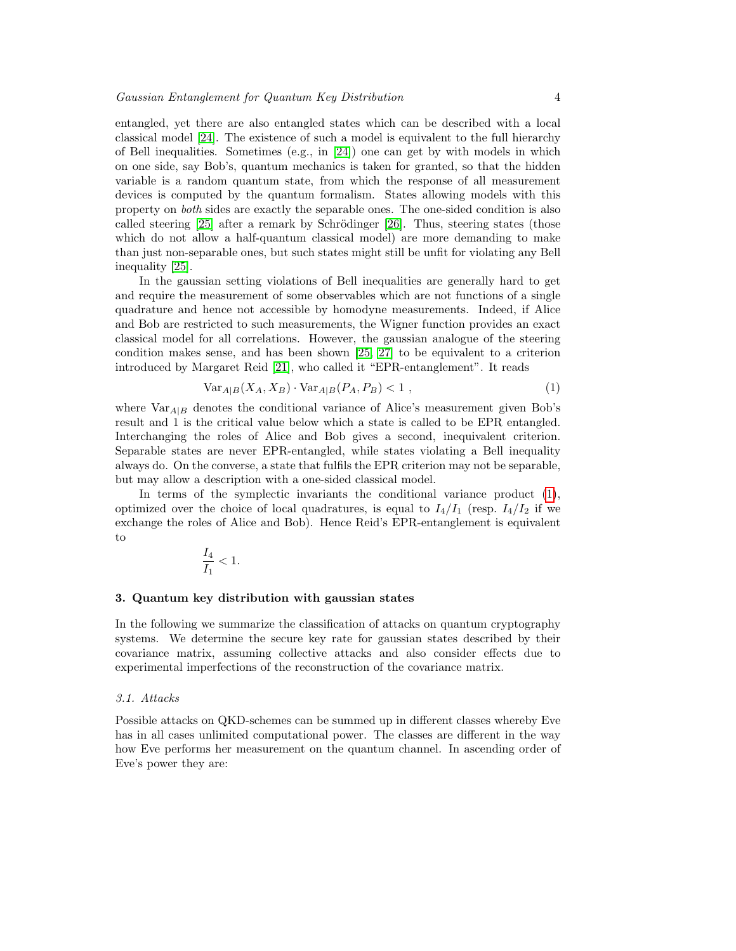entangled, yet there are also entangled states which can be described with a local classical model [\[24\]](#page-13-9). The existence of such a model is equivalent to the full hierarchy of Bell inequalities. Sometimes  $(e.g., in [24])$  $(e.g., in [24])$  $(e.g., in [24])$  one can get by with models in which on one side, say Bob's, quantum mechanics is taken for granted, so that the hidden variable is a random quantum state, from which the response of all measurement devices is computed by the quantum formalism. States allowing models with this property on both sides are exactly the separable ones. The one-sided condition is also called steering  $[25]$  after a remark by Schrödinger  $[26]$ . Thus, steering states (those which do not allow a half-quantum classical model) are more demanding to make than just non-separable ones, but such states might still be unfit for violating any Bell inequality [\[25\]](#page-13-10).

In the gaussian setting violations of Bell inequalities are generally hard to get and require the measurement of some observables which are not functions of a single quadrature and hence not accessible by homodyne measurements. Indeed, if Alice and Bob are restricted to such measurements, the Wigner function provides an exact classical model for all correlations. However, the gaussian analogue of the steering condition makes sense, and has been shown [\[25,](#page-13-10) [27\]](#page-13-12) to be equivalent to a criterion introduced by Margaret Reid [\[21\]](#page-13-3), who called it "EPR-entanglement". It reads

<span id="page-3-1"></span>
$$
\text{Var}_{A|B}(X_A, X_B) \cdot \text{Var}_{A|B}(P_A, P_B) < 1 \tag{1}
$$

where  $Var_{A|B}$  denotes the conditional variance of Alice's measurement given Bob's result and 1 is the critical value below which a state is called to be EPR entangled. Interchanging the roles of Alice and Bob gives a second, inequivalent criterion. Separable states are never EPR-entangled, while states violating a Bell inequality always do. On the converse, a state that fulfils the EPR criterion may not be separable, but may allow a description with a one-sided classical model.

In terms of the symplectic invariants the conditional variance product [\(1\)](#page-3-1), optimized over the choice of local quadratures, is equal to  $I_4/I_1$  (resp.  $I_4/I_2$  if we exchange the roles of Alice and Bob). Hence Reid's EPR-entanglement is equivalent to

$$
\frac{I_4}{I_1}<1.
$$

#### <span id="page-3-0"></span>3. Quantum key distribution with gaussian states

In the following we summarize the classification of attacks on quantum cryptography systems. We determine the secure key rate for gaussian states described by their covariance matrix, assuming collective attacks and also consider effects due to experimental imperfections of the reconstruction of the covariance matrix.

#### 3.1. Attacks

Possible attacks on QKD-schemes can be summed up in different classes whereby Eve has in all cases unlimited computational power. The classes are different in the way how Eve performs her measurement on the quantum channel. In ascending order of Eve's power they are: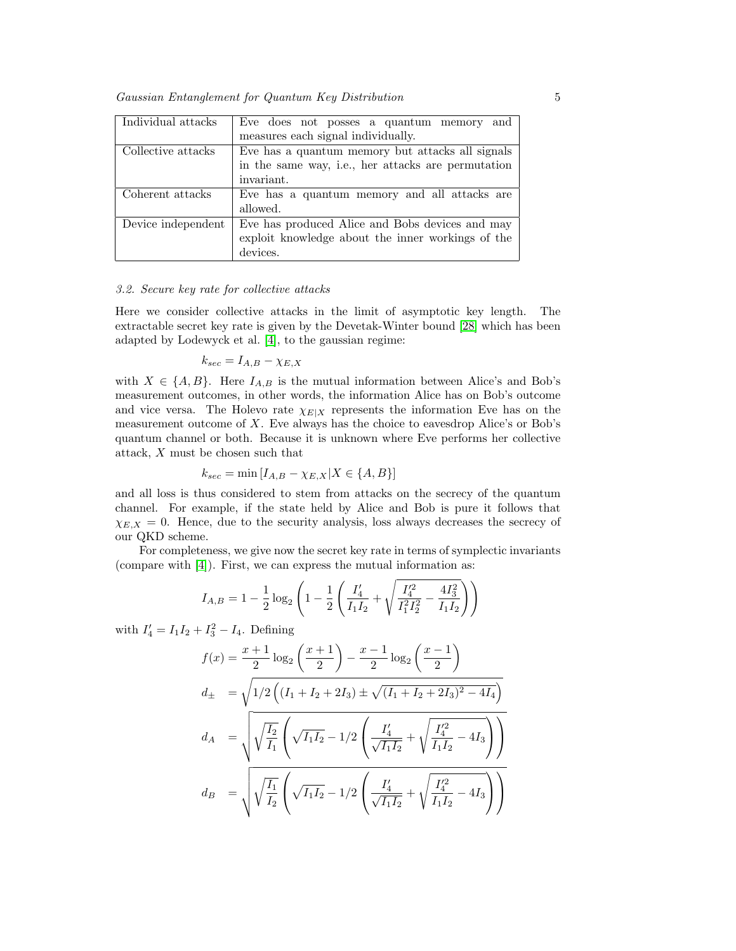Gaussian Entanglement for Quantum Key Distribution 5

| Individual attacks | Eve does not posses a quantum memory<br>and        |
|--------------------|----------------------------------------------------|
|                    | measures each signal individually.                 |
| Collective attacks | Eve has a quantum memory but attacks all signals   |
|                    | in the same way, i.e., her attacks are permutation |
|                    | invariant.                                         |
| Coherent attacks   | Eve has a quantum memory and all attacks are       |
|                    | allowed.                                           |
| Device independent | Eve has produced Alice and Bobs devices and may    |
|                    | exploit knowledge about the inner workings of the  |
|                    | devices.                                           |

# 3.2. Secure key rate for collective attacks

Here we consider collective attacks in the limit of asymptotic key length. The extractable secret key rate is given by the Devetak-Winter bound [\[28\]](#page-13-13) which has been adapted by Lodewyck et al. [\[4\]](#page-12-7), to the gaussian regime:

$$
k_{sec} = I_{A,B} - \chi_{E,X}
$$

with  $X \in \{A, B\}$ . Here  $I_{A,B}$  is the mutual information between Alice's and Bob's measurement outcomes, in other words, the information Alice has on Bob's outcome and vice versa. The Holevo rate  $\chi_{E|X}$  represents the information Eve has on the measurement outcome of  $X$ . Eve always has the choice to eavesdrop Alice's or Bob's quantum channel or both. Because it is unknown where Eve performs her collective attack, X must be chosen such that

$$
k_{sec} = \min[I_{A,B} - \chi_{E,X} | X \in \{A, B\}]
$$

and all loss is thus considered to stem from attacks on the secrecy of the quantum channel. For example, if the state held by Alice and Bob is pure it follows that  $\chi_{E,X} = 0$ . Hence, due to the security analysis, loss always decreases the secrecy of our QKD scheme.

For completeness, we give now the secret key rate in terms of symplectic invariants (compare with [\[4\]](#page-12-7)). First, we can express the mutual information as:

$$
I_{A,B} = 1 - \frac{1}{2} \log_2 \left( 1 - \frac{1}{2} \left( \frac{I_4'}{I_1 I_2} + \sqrt{\frac{I_4'^2}{I_1^2 I_2^2} - \frac{4 I_3^2}{I_1 I_2}} \right) \right)
$$

with  $I'_4 = I_1 I_2 + I_3^2 - I_4$ . Defining

$$
f(x) = \frac{x+1}{2} \log_2 \left(\frac{x+1}{2}\right) - \frac{x-1}{2} \log_2 \left(\frac{x-1}{2}\right)
$$
  
\n
$$
d_{\pm} = \sqrt{1/2 \left( (I_1 + I_2 + 2I_3) \pm \sqrt{(I_1 + I_2 + 2I_3)^2 - 4I_4} \right)}
$$
  
\n
$$
d_A = \sqrt{\sqrt{\frac{I_2}{I_1}} \left( \sqrt{I_1 I_2} - 1/2 \left( \frac{I_4'}{\sqrt{I_1 I_2}} + \sqrt{\frac{I_4'^2}{I_1 I_2} - 4I_3} \right) \right)}
$$
  
\n
$$
d_B = \sqrt{\sqrt{\frac{I_1}{I_2}} \left( \sqrt{I_1 I_2} - 1/2 \left( \frac{I_4'}{\sqrt{I_1 I_2}} + \sqrt{\frac{I_4'^2}{I_1 I_2} - 4I_3} \right) \right)}
$$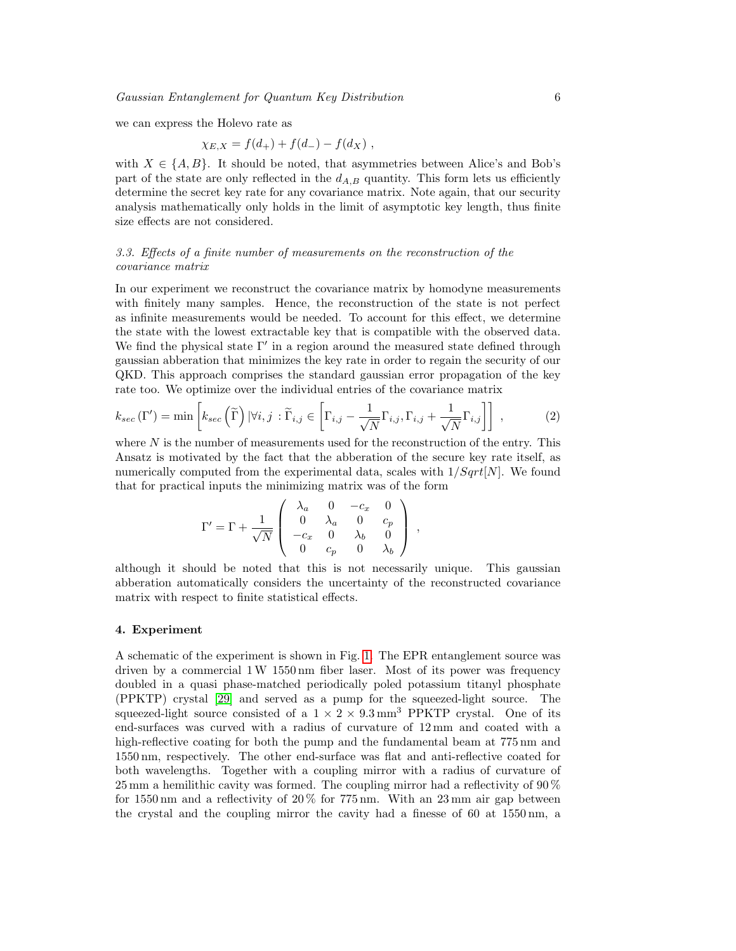we can express the Holevo rate as

$$
\chi_{E,X} = f(d_+) + f(d_-) - f(d_X) ,
$$

with  $X \in \{A, B\}$ . It should be noted, that asymmetries between Alice's and Bob's part of the state are only reflected in the  $d_{A,B}$  quantity. This form lets us efficiently determine the secret key rate for any covariance matrix. Note again, that our security analysis mathematically only holds in the limit of asymptotic key length, thus finite size effects are not considered.

# 3.3. Effects of a finite number of measurements on the reconstruction of the covariance matrix

In our experiment we reconstruct the covariance matrix by homodyne measurements with finitely many samples. Hence, the reconstruction of the state is not perfect as infinite measurements would be needed. To account for this effect, we determine the state with the lowest extractable key that is compatible with the observed data. We find the physical state  $\Gamma'$  in a region around the measured state defined through gaussian abberation that minimizes the key rate in order to regain the security of our QKD. This approach comprises the standard gaussian error propagation of the key rate too. We optimize over the individual entries of the covariance matrix

<span id="page-5-1"></span>
$$
k_{sec}(\Gamma') = \min\left[k_{sec}\left(\widetilde{\Gamma}\right)|\forall i,j : \widetilde{\Gamma}_{i,j} \in \left[\Gamma_{i,j} - \frac{1}{\sqrt{N}}\Gamma_{i,j}, \Gamma_{i,j} + \frac{1}{\sqrt{N}}\Gamma_{i,j}\right]\right],\tag{2}
$$

where  $N$  is the number of measurements used for the reconstruction of the entry. This Ansatz is motivated by the fact that the abberation of the secure key rate itself, as numerically computed from the experimental data, scales with  $1/Sqrt[N]$ . We found that for practical inputs the minimizing matrix was of the form

$$
\Gamma' = \Gamma + \frac{1}{\sqrt{N}} \left( \begin{array}{cccc} \lambda_a & 0 & -c_x & 0 \\ 0 & \lambda_a & 0 & c_p \\ -c_x & 0 & \lambda_b & 0 \\ 0 & c_p & 0 & \lambda_b \end{array} \right) ,
$$

although it should be noted that this is not necessarily unique. This gaussian abberation automatically considers the uncertainty of the reconstructed covariance matrix with respect to finite statistical effects.

## <span id="page-5-0"></span>4. Experiment

A schematic of the experiment is shown in Fig. [1.](#page-6-0) The EPR entanglement source was driven by a commercial 1W 1550 nm fiber laser. Most of its power was frequency doubled in a quasi phase-matched periodically poled potassium titanyl phosphate (PPKTP) crystal [\[29\]](#page-13-14) and served as a pump for the squeezed-light source. The squeezed-light source consisted of a  $1 \times 2 \times 9.3$  mm<sup>3</sup> PPKTP crystal. One of its end-surfaces was curved with a radius of curvature of 12 mm and coated with a high-reflective coating for both the pump and the fundamental beam at  $775 \text{ nm}$  and 1550 nm, respectively. The other end-surface was flat and anti-reflective coated for both wavelengths. Together with a coupling mirror with a radius of curvature of 25 mm a hemilithic cavity was formed. The coupling mirror had a reflectivity of 90 % for 1550 nm and a reflectivity of 20 % for 775 nm. With an 23 mm air gap between the crystal and the coupling mirror the cavity had a finesse of 60 at 1550 nm, a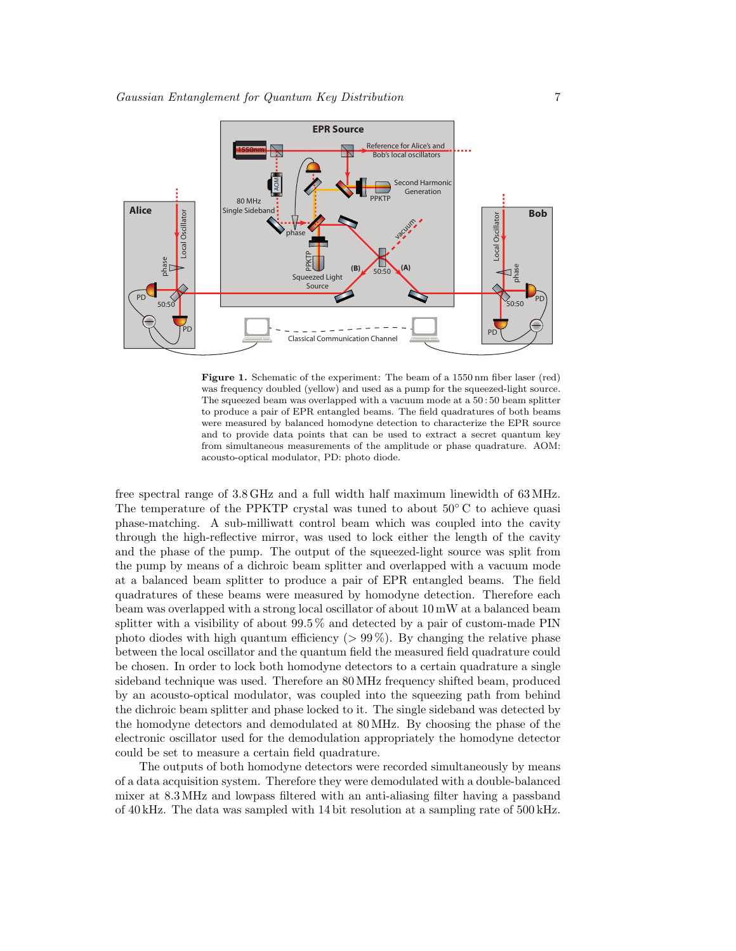

<span id="page-6-0"></span>Figure 1. Schematic of the experiment: The beam of a 1550 nm fiber laser (red) was frequency doubled (yellow) and used as a pump for the squeezed-light source. The squeezed beam was overlapped with a vacuum mode at a 50 : 50 beam splitter to produce a pair of EPR entangled beams. The field quadratures of both beams were measured by balanced homodyne detection to characterize the EPR source and to provide data points that can be used to extract a secret quantum key from simultaneous measurements of the amplitude or phase quadrature. AOM: acousto-optical modulator, PD: photo diode.

free spectral range of 3.8 GHz and a full width half maximum linewidth of 63 MHz. The temperature of the PPKTP crystal was tuned to about  $50^{\circ}$ C to achieve quasi phase-matching. A sub-milliwatt control beam which was coupled into the cavity through the high-reflective mirror, was used to lock either the length of the cavity and the phase of the pump. The output of the squeezed-light source was split from the pump by means of a dichroic beam splitter and overlapped with a vacuum mode at a balanced beam splitter to produce a pair of EPR entangled beams. The field quadratures of these beams were measured by homodyne detection. Therefore each beam was overlapped with a strong local oscillator of about 10 mW at a balanced beam splitter with a visibility of about 99.5 % and detected by a pair of custom-made PIN photo diodes with high quantum efficiency  $(> 99\%)$ . By changing the relative phase between the local oscillator and the quantum field the measured field quadrature could be chosen. In order to lock both homodyne detectors to a certain quadrature a single sideband technique was used. Therefore an 80 MHz frequency shifted beam, produced by an acousto-optical modulator, was coupled into the squeezing path from behind the dichroic beam splitter and phase locked to it. The single sideband was detected by the homodyne detectors and demodulated at 80 MHz. By choosing the phase of the electronic oscillator used for the demodulation appropriately the homodyne detector could be set to measure a certain field quadrature.

The outputs of both homodyne detectors were recorded simultaneously by means of a data acquisition system. Therefore they were demodulated with a double-balanced mixer at 8.3 MHz and lowpass filtered with an anti-aliasing filter having a passband of 40 kHz. The data was sampled with 14 bit resolution at a sampling rate of 500 kHz.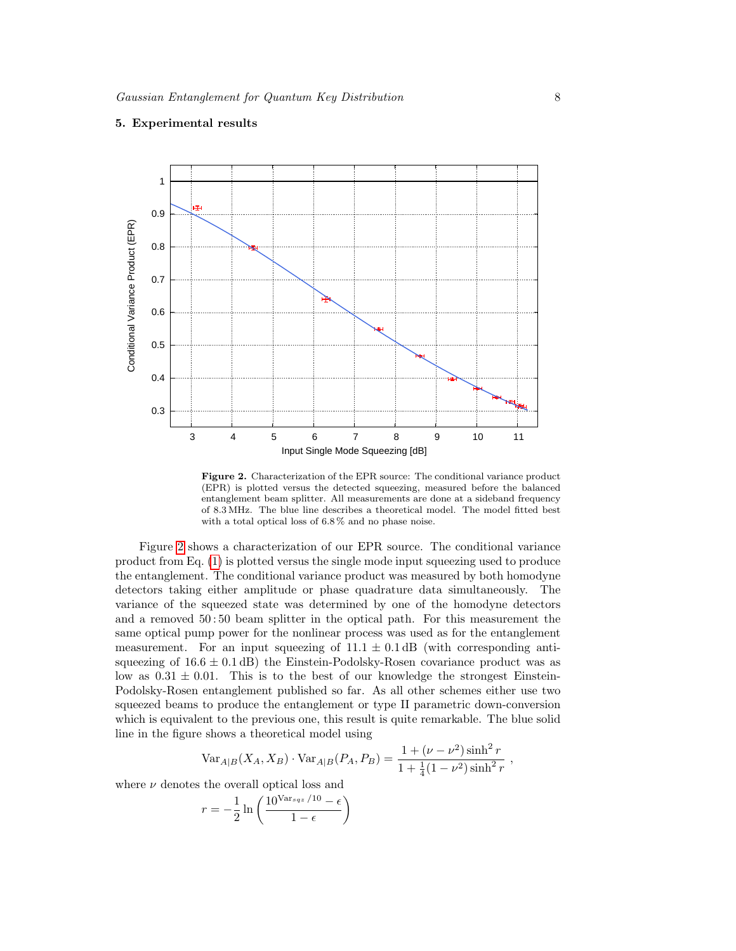

# <span id="page-7-0"></span>5. Experimental results

<span id="page-7-1"></span>Figure 2. Characterization of the EPR source: The conditional variance product (EPR) is plotted versus the detected squeezing, measured before the balanced entanglement beam splitter. All measurements are done at a sideband frequency of 8.3 MHz. The blue line describes a theoretical model. The model fitted best with a total optical loss of 6.8 % and no phase noise.

Figure [2](#page-7-1) shows a characterization of our EPR source. The conditional variance product from Eq. [\(1\)](#page-3-1) is plotted versus the single mode input squeezing used to produce the entanglement. The conditional variance product was measured by both homodyne detectors taking either amplitude or phase quadrature data simultaneously. The variance of the squeezed state was determined by one of the homodyne detectors and a removed 50 : 50 beam splitter in the optical path. For this measurement the same optical pump power for the nonlinear process was used as for the entanglement measurement. For an input squeezing of  $11.1 \pm 0.1$  dB (with corresponding antisqueezing of  $16.6 \pm 0.1$  dB) the Einstein-Podolsky-Rosen covariance product was as low as  $0.31 \pm 0.01$ . This is to the best of our knowledge the strongest Einstein-Podolsky-Rosen entanglement published so far. As all other schemes either use two squeezed beams to produce the entanglement or type II parametric down-conversion which is equivalent to the previous one, this result is quite remarkable. The blue solid line in the figure shows a theoretical model using

$$
\text{Var}_{A|B}(X_A, X_B) \cdot \text{Var}_{A|B}(P_A, P_B) = \frac{1 + (\nu - \nu^2)\sinh^2 r}{1 + \frac{1}{4}(1 - \nu^2)\sinh^2 r},
$$

where  $\nu$  denotes the overall optical loss and

$$
r = -\frac{1}{2} \ln \left( \frac{10^{\text{Var}_{sqz}/10} - \epsilon}{1 - \epsilon} \right)
$$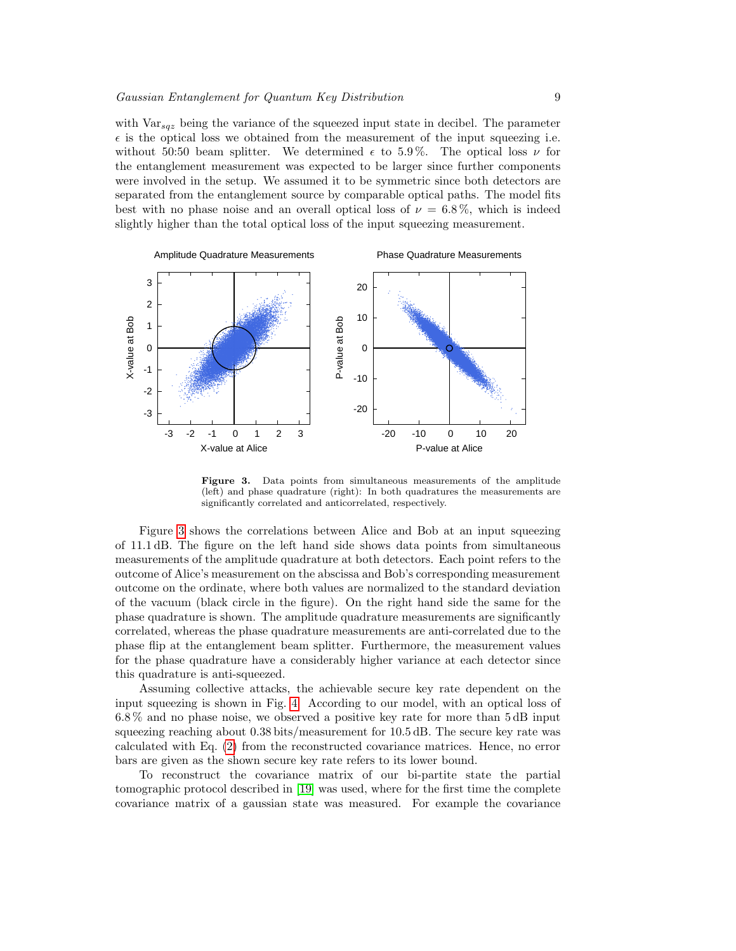with  $\text{Var}_{sqz}$  being the variance of the squeezed input state in decibel. The parameter  $\epsilon$  is the optical loss we obtained from the measurement of the input squeezing i.e. without 50:50 beam splitter. We determined  $\epsilon$  to 5.9%. The optical loss  $\nu$  for the entanglement measurement was expected to be larger since further components were involved in the setup. We assumed it to be symmetric since both detectors are separated from the entanglement source by comparable optical paths. The model fits best with no phase noise and an overall optical loss of  $\nu = 6.8\%$ , which is indeed slightly higher than the total optical loss of the input squeezing measurement.



<span id="page-8-0"></span>Figure 3. Data points from simultaneous measurements of the amplitude (left) and phase quadrature (right): In both quadratures the measurements are significantly correlated and anticorrelated, respectively.

Figure [3](#page-8-0) shows the correlations between Alice and Bob at an input squeezing of 11.1 dB. The figure on the left hand side shows data points from simultaneous measurements of the amplitude quadrature at both detectors. Each point refers to the outcome of Alice's measurement on the abscissa and Bob's corresponding measurement outcome on the ordinate, where both values are normalized to the standard deviation of the vacuum (black circle in the figure). On the right hand side the same for the phase quadrature is shown. The amplitude quadrature measurements are significantly correlated, whereas the phase quadrature measurements are anti-correlated due to the phase flip at the entanglement beam splitter. Furthermore, the measurement values for the phase quadrature have a considerably higher variance at each detector since this quadrature is anti-squeezed.

Assuming collective attacks, the achievable secure key rate dependent on the input squeezing is shown in Fig. [4.](#page-9-0) According to our model, with an optical loss of 6.8 % and no phase noise, we observed a positive key rate for more than 5 dB input squeezing reaching about 0.38 bits/measurement for 10.5 dB. The secure key rate was calculated with Eq. [\(2\)](#page-5-1) from the reconstructed covariance matrices. Hence, no error bars are given as the shown secure key rate refers to its lower bound.

To reconstruct the covariance matrix of our bi-partite state the partial tomographic protocol described in [\[19\]](#page-13-1) was used, where for the first time the complete covariance matrix of a gaussian state was measured. For example the covariance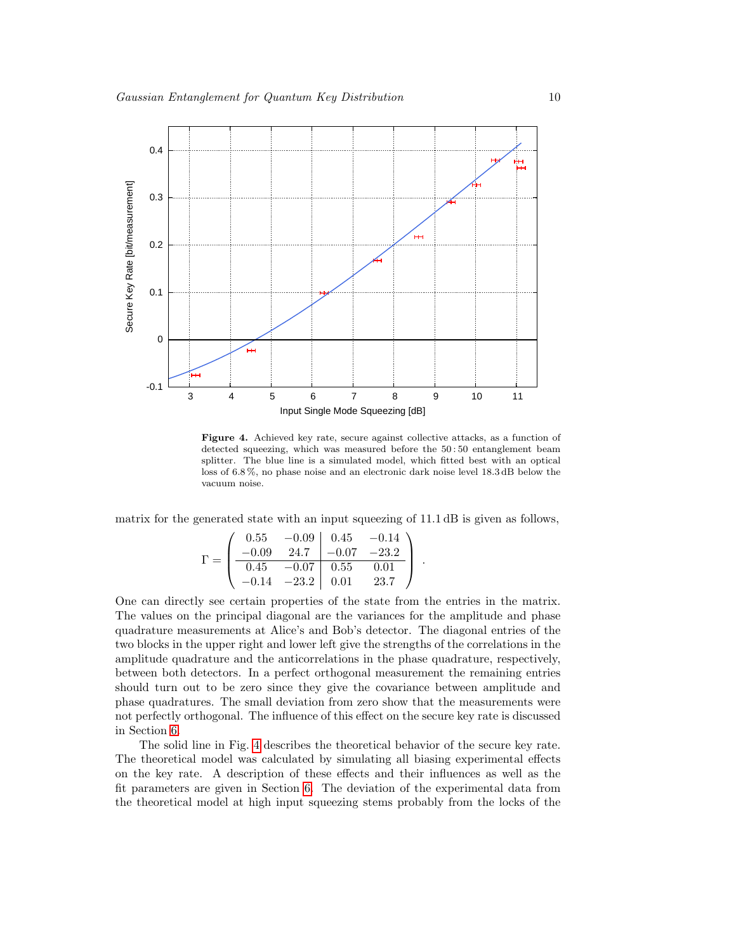

<span id="page-9-0"></span>Figure 4. Achieved key rate, secure against collective attacks, as a function of detected squeezing, which was measured before the 50 : 50 entanglement beam splitter. The blue line is a simulated model, which fitted best with an optical loss of 6.8 %, no phase noise and an electronic dark noise level 18.3 dB below the vacuum noise.

matrix for the generated state with an input squeezing of 11.1 dB is given as follows,

$$
\Gamma = \begin{pmatrix}\n0.55 & -0.09 & 0.45 & -0.14 \\
-0.09 & 24.7 & -0.07 & -23.2 \\
\hline\n0.45 & -0.07 & 0.55 & 0.01 \\
-0.14 & -23.2 & 0.01 & 23.7\n\end{pmatrix}.
$$

One can directly see certain properties of the state from the entries in the matrix. The values on the principal diagonal are the variances for the amplitude and phase quadrature measurements at Alice's and Bob's detector. The diagonal entries of the two blocks in the upper right and lower left give the strengths of the correlations in the amplitude quadrature and the anticorrelations in the phase quadrature, respectively, between both detectors. In a perfect orthogonal measurement the remaining entries should turn out to be zero since they give the covariance between amplitude and phase quadratures. The small deviation from zero show that the measurements were not perfectly orthogonal. The influence of this effect on the secure key rate is discussed in Section [6.](#page-10-0)

The solid line in Fig. [4](#page-9-0) describes the theoretical behavior of the secure key rate. The theoretical model was calculated by simulating all biasing experimental effects on the key rate. A description of these effects and their influences as well as the fit parameters are given in Section [6.](#page-10-0) The deviation of the experimental data from the theoretical model at high input squeezing stems probably from the locks of the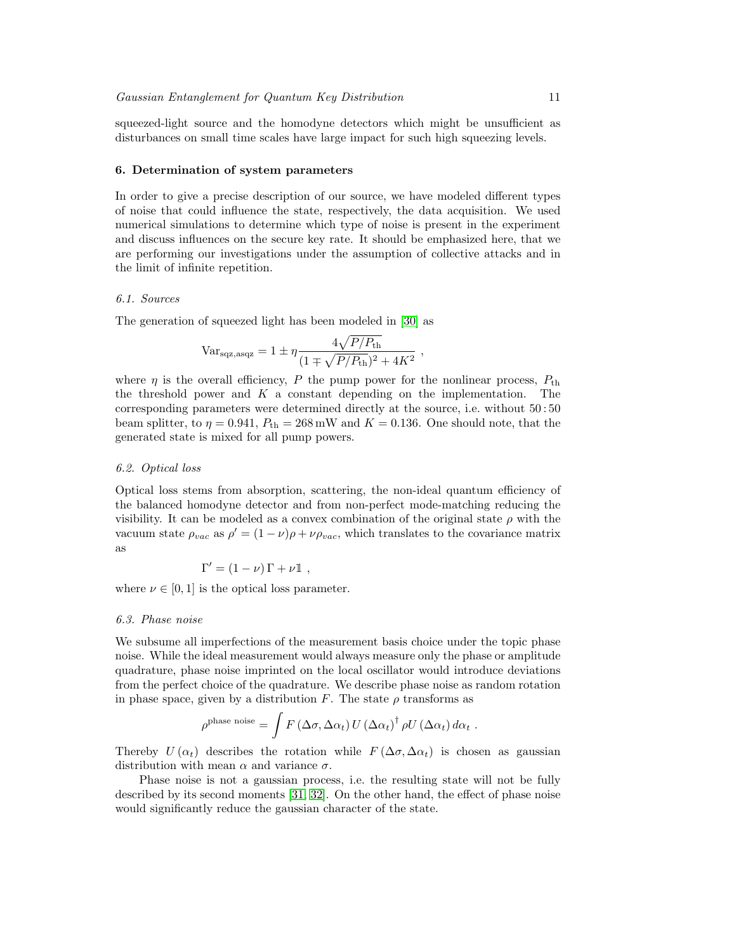squeezed-light source and the homodyne detectors which might be unsufficient as disturbances on small time scales have large impact for such high squeezing levels.

# <span id="page-10-0"></span>6. Determination of system parameters

In order to give a precise description of our source, we have modeled different types of noise that could influence the state, respectively, the data acquisition. We used numerical simulations to determine which type of noise is present in the experiment and discuss influences on the secure key rate. It should be emphasized here, that we are performing our investigations under the assumption of collective attacks and in the limit of infinite repetition.

## 6.1. Sources

The generation of squeezed light has been modeled in [\[30\]](#page-13-15) as

$$
Var_{\text{sqz,asqz}} = 1 \pm \eta \frac{4\sqrt{P/P_{\text{th}}}}{(1 \mp \sqrt{P/P_{\text{th}}})^2 + 4K^2} ,
$$

where  $\eta$  is the overall efficiency, P the pump power for the nonlinear process,  $P_{\text{th}}$ the threshold power and  $K$  a constant depending on the implementation. The corresponding parameters were determined directly at the source, i.e. without 50 : 50 beam splitter, to  $\eta = 0.941$ ,  $P_{\text{th}} = 268 \text{ mW}$  and  $K = 0.136$ . One should note, that the generated state is mixed for all pump powers.

## 6.2. Optical loss

Optical loss stems from absorption, scattering, the non-ideal quantum efficiency of the balanced homodyne detector and from non-perfect mode-matching reducing the visibility. It can be modeled as a convex combination of the original state  $\rho$  with the vacuum state  $\rho_{vac}$  as  $\rho' = (1 - \nu)\rho + \nu \rho_{vac}$ , which translates to the covariance matrix as

$$
\Gamma' = (1 - \nu) \Gamma + \nu \mathbb{1} ,
$$

where  $\nu \in [0, 1]$  is the optical loss parameter.

#### 6.3. Phase noise

We subsume all imperfections of the measurement basis choice under the topic phase noise. While the ideal measurement would always measure only the phase or amplitude quadrature, phase noise imprinted on the local oscillator would introduce deviations from the perfect choice of the quadrature. We describe phase noise as random rotation in phase space, given by a distribution F. The state  $\rho$  transforms as

$$
\rho^{\text{phase noise}} = \int F(\Delta\sigma, \Delta\alpha_t) U(\Delta\alpha_t)^{\dagger} \rho U(\Delta\alpha_t) d\alpha_t.
$$

Thereby  $U(\alpha_t)$  describes the rotation while  $F(\Delta \sigma, \Delta \alpha_t)$  is chosen as gaussian distribution with mean  $\alpha$  and variance  $\sigma$ .

Phase noise is not a gaussian process, i.e. the resulting state will not be fully described by its second moments [\[31,](#page-13-16) [32\]](#page-13-17). On the other hand, the effect of phase noise would significantly reduce the gaussian character of the state.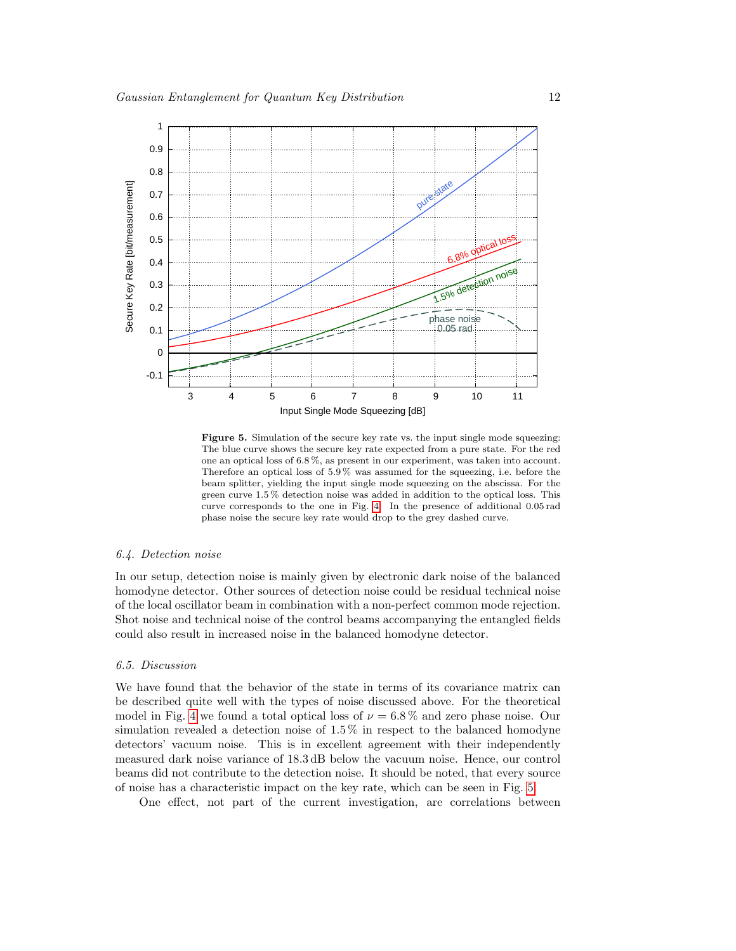

<span id="page-11-0"></span>Figure 5. Simulation of the secure key rate vs. the input single mode squeezing: The blue curve shows the secure key rate expected from a pure state. For the red one an optical loss of 6.8 %, as present in our experiment, was taken into account. Therefore an optical loss of 5.9 % was assumed for the squeezing, i.e. before the beam splitter, yielding the input single mode squeezing on the abscissa. For the green curve 1.5 % detection noise was added in addition to the optical loss. This curve corresponds to the one in Fig. [4.](#page-9-0) In the presence of additional 0.05 rad phase noise the secure key rate would drop to the grey dashed curve.

# 6.4. Detection noise

In our setup, detection noise is mainly given by electronic dark noise of the balanced homodyne detector. Other sources of detection noise could be residual technical noise of the local oscillator beam in combination with a non-perfect common mode rejection. Shot noise and technical noise of the control beams accompanying the entangled fields could also result in increased noise in the balanced homodyne detector.

# 6.5. Discussion

We have found that the behavior of the state in terms of its covariance matrix can be described quite well with the types of noise discussed above. For the theoretical model in Fig. [4](#page-9-0) we found a total optical loss of  $\nu = 6.8\%$  and zero phase noise. Our simulation revealed a detection noise of 1.5 % in respect to the balanced homodyne detectors' vacuum noise. This is in excellent agreement with their independently measured dark noise variance of 18.3 dB below the vacuum noise. Hence, our control beams did not contribute to the detection noise. It should be noted, that every source of noise has a characteristic impact on the key rate, which can be seen in Fig. [5.](#page-11-0)

One effect, not part of the current investigation, are correlations between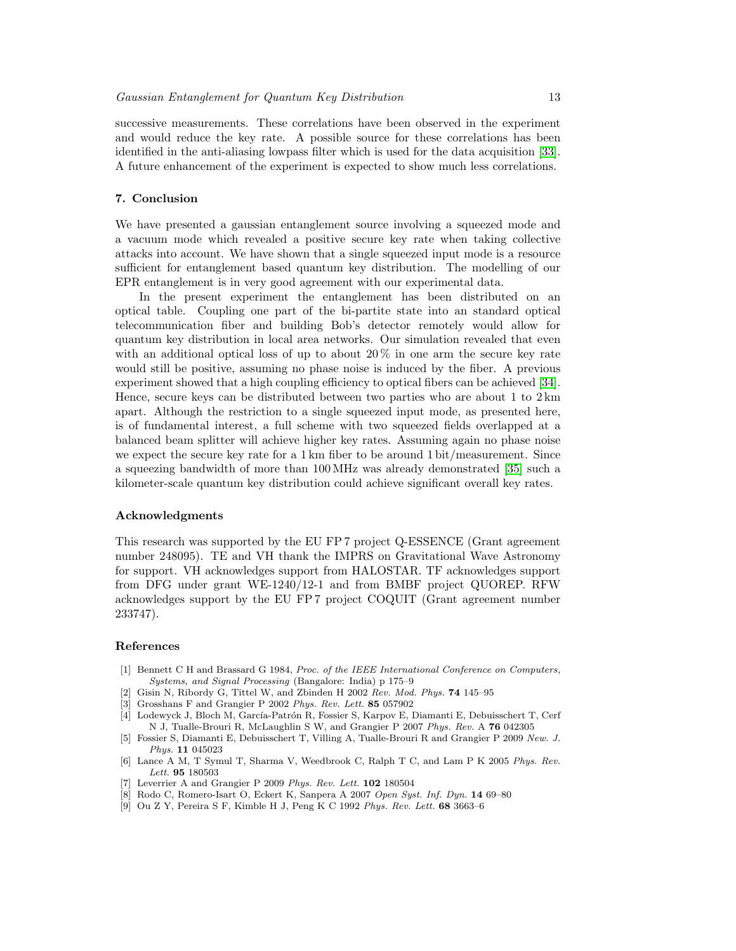successive measurements. These correlations have been observed in the experiment and would reduce the key rate. A possible source for these correlations has been identified in the anti-aliasing lowpass filter which is used for the data acquisition [\[33\]](#page-13-18). A future enhancement of the experiment is expected to show much less correlations.

# <span id="page-12-6"></span>7. Conclusion

We have presented a gaussian entanglement source involving a squeezed mode and a vacuum mode which revealed a positive secure key rate when taking collective attacks into account. We have shown that a single squeezed input mode is a resource sufficient for entanglement based quantum key distribution. The modelling of our EPR entanglement is in very good agreement with our experimental data.

In the present experiment the entanglement has been distributed on an optical table. Coupling one part of the bi-partite state into an standard optical telecommunication fiber and building Bob's detector remotely would allow for quantum key distribution in local area networks. Our simulation revealed that even with an additional optical loss of up to about  $20\%$  in one arm the secure key rate would still be positive, assuming no phase noise is induced by the fiber. A previous experiment showed that a high coupling efficiency to optical fibers can be achieved [\[34\]](#page-13-19). Hence, secure keys can be distributed between two parties who are about 1 to 2 km apart. Although the restriction to a single squeezed input mode, as presented here, is of fundamental interest, a full scheme with two squeezed fields overlapped at a balanced beam splitter will achieve higher key rates. Assuming again no phase noise we expect the secure key rate for a 1 km fiber to be around 1 bit/measurement. Since a squeezing bandwidth of more than 100 MHz was already demonstrated [\[35\]](#page-13-20) such a kilometer-scale quantum key distribution could achieve significant overall key rates.

# Acknowledgments

This research was supported by the EU FP 7 project Q-ESSENCE (Grant agreement number 248095). TE and VH thank the IMPRS on Gravitational Wave Astronomy for support. VH acknowledges support from HALOSTAR. TF acknowledges support from DFG under grant WE-1240/12-1 and from BMBF project QUOREP. RFW acknowledges support by the EU FP 7 project COQUIT (Grant agreement number 233747).

#### References

- <span id="page-12-0"></span>[1] Bennett C H and Brassard G 1984, Proc. of the IEEE International Conference on Computers, Systems, and Signal Processing (Bangalore: India) p 175–9
- <span id="page-12-1"></span>[2] Gisin N, Ribordy G, Tittel W, and Zbinden H 2002 Rev. Mod. Phys. 74 145–95
- <span id="page-12-2"></span>[3] Grosshans F and Grangier P 2002 Phys. Rev. Lett. 85 057902
- <span id="page-12-7"></span>[4] Lodewyck J, Bloch M, García-Patrón R, Fossier S, Karpov E, Diamanti E, Debuisschert T, Cerf N J, Tualle-Brouri R, McLaughlin S W, and Grangier P 2007 Phys. Rev. A 76 042305
- [5] Fossier S, Diamanti E, Debuisschert T, Villing A, Tualle-Brouri R and Grangier P 2009 New. J. Phys. 11 045023
- [6] Lance A M, T Symul T, Sharma V, Weedbrook C, Ralph T C, and Lam P K 2005 Phys. Rev. Lett. 95 180503
- <span id="page-12-3"></span>Leverrier A and Grangier P 2009 Phys. Rev. Lett. 102 180504
- <span id="page-12-4"></span>[8] Rodo C, Romero-Isart O, Eckert K, Sanpera A 2007 Open Syst. Inf. Dyn. 14 69–80
- <span id="page-12-5"></span>[9] Ou Z Y, Pereira S F, Kimble H J, Peng K C 1992 Phys. Rev. Lett. 68 3663–6